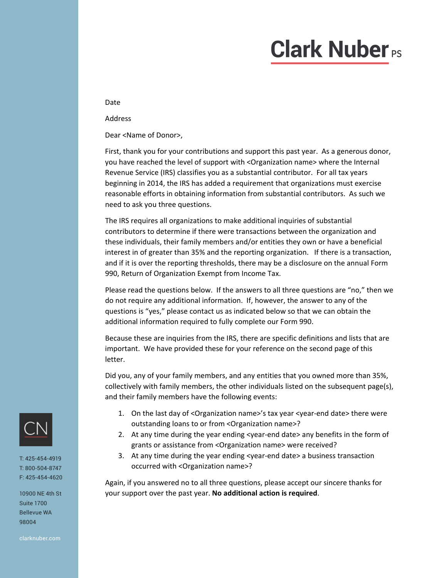## **Clark Nuber**<sub>Ps</sub>

Date

Address

Dear <Name of Donor>,

First, thank you for your contributions and support this past year. As a generous donor, you have reached the level of support with <Organization name> where the Internal Revenue Service (IRS) classifies you as a substantial contributor. For all tax years beginning in 2014, the IRS has added a requirement that organizations must exercise reasonable efforts in obtaining information from substantial contributors. As such we need to ask you three questions.

The IRS requires all organizations to make additional inquiries of substantial contributors to determine if there were transactions between the organization and these individuals, their family members and/or entities they own or have a beneficial interest in of greater than 35% and the reporting organization. If there is a transaction, and if it is over the reporting thresholds, there may be a disclosure on the annual Form 990, Return of Organization Exempt from Income Tax.

Please read the questions below. If the answers to all three questions are "no," then we do not require any additional information. If, however, the answer to any of the questions is "yes," please contact us as indicated below so that we can obtain the additional information required to fully complete our Form 990.

Because these are inquiries from the IRS, there are specific definitions and lists that are important. We have provided these for your reference on the second page of this letter.

Did you, any of your family members, and any entities that you owned more than 35%, collectively with family members, the other individuals listed on the subsequent page(s), and their family members have the following events:

- 1. On the last day of <Organization name>'s tax year <year-end date> there were outstanding loans to or from <Organization name>?
- 2. At any time during the year ending <year-end date> any benefits in the form of grants or assistance from <Organization name> were received?
- 3. At any time during the year ending <year-end date> a business transaction occurred with <Organization name>?

Again, if you answered no to all three questions, please accept our sincere thanks for your support over the past year. **No additional action is required**.



T: 425-454-4919 T: 800-504-8747 F: 425-454-4620

10900 NE 4th St Suite 1700 Bellevue WA 98004

clarknuber.com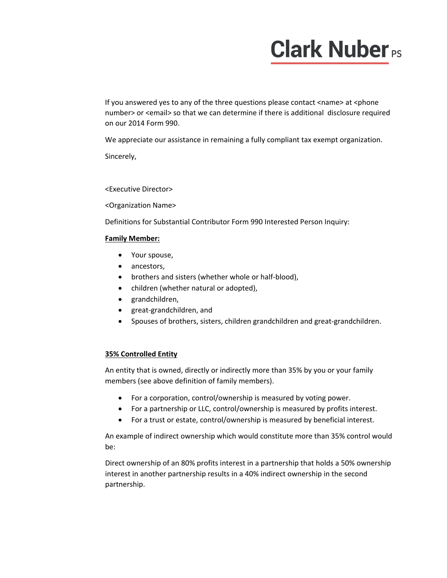# **Clark Nuber**<sub>PS</sub>

If you answered yes to any of the three questions please contact <name> at <phone number> or <email> so that we can determine if there is additional disclosure required on our 2014 Form 990.

We appreciate our assistance in remaining a fully compliant tax exempt organization.

Sincerely,

<Executive Director>

<Organization Name>

Definitions for Substantial Contributor Form 990 Interested Person Inquiry:

#### **Family Member:**

- Your spouse,
- ancestors,
- brothers and sisters (whether whole or half-blood),
- children (whether natural or adopted),
- grandchildren,
- great‐grandchildren, and
- Spouses of brothers, sisters, children grandchildren and great-grandchildren.

### **35% Controlled Entity**

An entity that is owned, directly or indirectly more than 35% by you or your family members (see above definition of family members).

- For a corporation, control/ownership is measured by voting power.
- For a partnership or LLC, control/ownership is measured by profits interest.
- For a trust or estate, control/ownership is measured by beneficial interest.

An example of indirect ownership which would constitute more than 35% control would be:

Direct ownership of an 80% profits interest in a partnership that holds a 50% ownership interest in another partnership results in a 40% indirect ownership in the second partnership.